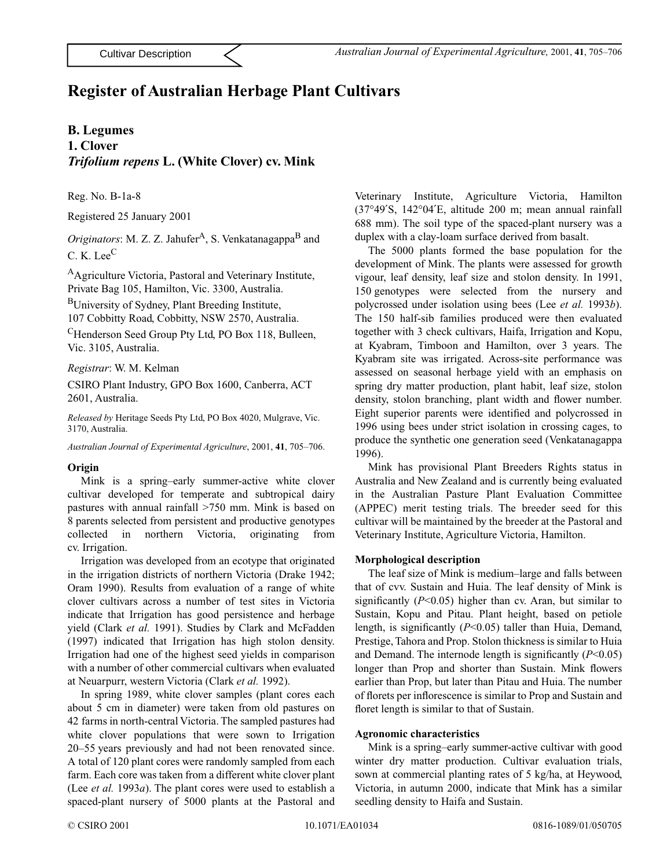# **Register of Australian Herbage Plant Cultivars**

### **B. Legumes**

## **1. Clover** *Trifolium repens* **L. (White Clover) cv. Mink**

Reg. No. B-1a-8

Registered 25 January 2001

*Originators*: M. Z. Z. Jahufer<sup>A</sup>, S. Venkatanagappa<sup>B</sup> and C. K. Lee<sup>C</sup>

AAgriculture Victoria, Pastoral and Veterinary Institute, Private Bag 105, Hamilton, Vic. 3300, Australia.

BUniversity of Sydney, Plant Breeding Institute, 107 Cobbitty Road, Cobbitty, NSW 2570, Australia.

CHenderson Seed Group Pty Ltd, PO Box 118, Bulleen, Vic. 3105, Australia.

*Registrar*: W. M. Kelman

CSIRO Plant Industry, GPO Box 1600, Canberra, ACT 2601, Australia.

*Released by* Heritage Seeds Pty Ltd, PO Box 4020, Mulgrave, Vic. 3170, Australia.

*Australian Journal of Experimental Agriculture*, 2001, **41**, 705–706.

#### **Origin**

Mink is a spring–early summer-active white clover cultivar developed for temperate and subtropical dairy pastures with annual rainfall >750 mm. Mink is based on 8 parents selected from persistent and productive genotypes collected in northern Victoria, originating from cv. Irrigation.

Irrigation was developed from an ecotype that originated in the irrigation districts of northern Victoria (Drake 1942; Oram 1990). Results from evaluation of a range of white clover cultivars across a number of test sites in Victoria indicate that Irrigation has good persistence and herbage yield (Clark *et al.* 1991). Studies by Clark and McFadden (1997) indicated that Irrigation has high stolon density. Irrigation had one of the highest seed yields in comparison with a number of other commercial cultivars when evaluated at Neuarpurr, western Victoria (Clark *et al.* 1992).

In spring 1989, white clover samples (plant cores each about 5 cm in diameter) were taken from old pastures on 42 farms in north-central Victoria. The sampled pastures had white clover populations that were sown to Irrigation 20–55 years previously and had not been renovated since. A total of 120 plant cores were randomly sampled from each farm. Each core was taken from a different white clover plant (Lee *et al.* 1993*a*). The plant cores were used to establish a spaced-plant nursery of 5000 plants at the Pastoral and

Veterinary Institute, Agriculture Victoria, Hamilton (37°49′S, 142°04′E, altitude 200 m; mean annual rainfall 688 mm). The soil type of the spaced-plant nursery was a duplex with a clay-loam surface derived from basalt.

The 5000 plants formed the base population for the development of Mink. The plants were assessed for growth vigour, leaf density, leaf size and stolon density. In 1991, 150 genotypes were selected from the nursery and polycrossed under isolation using bees (Lee *et al.* 1993*b*). The 150 half-sib families produced were then evaluated together with 3 check cultivars, Haifa, Irrigation and Kopu, at Kyabram, Timboon and Hamilton, over 3 years. The Kyabram site was irrigated. Across-site performance was assessed on seasonal herbage yield with an emphasis on spring dry matter production, plant habit, leaf size, stolon density, stolon branching, plant width and flower number. Eight superior parents were identified and polycrossed in 1996 using bees under strict isolation in crossing cages, to produce the synthetic one generation seed (Venkatanagappa 1996).

Mink has provisional Plant Breeders Rights status in Australia and New Zealand and is currently being evaluated in the Australian Pasture Plant Evaluation Committee (APPEC) merit testing trials. The breeder seed for this cultivar will be maintained by the breeder at the Pastoral and Veterinary Institute, Agriculture Victoria, Hamilton.

#### **Morphological description**

The leaf size of Mink is medium–large and falls between that of cvv. Sustain and Huia. The leaf density of Mink is significantly (*P*<0.05) higher than cv. Aran, but similar to Sustain, Kopu and Pitau. Plant height, based on petiole length, is significantly (*P*<0.05) taller than Huia, Demand, Prestige, Tahora and Prop. Stolon thickness is similar to Huia and Demand. The internode length is significantly (*P*<0.05) longer than Prop and shorter than Sustain. Mink flowers earlier than Prop, but later than Pitau and Huia. The number of florets per inflorescence is similar to Prop and Sustain and floret length is similar to that of Sustain.

#### **Agronomic characteristics**

Mink is a spring–early summer-active cultivar with good winter dry matter production. Cultivar evaluation trials, sown at commercial planting rates of 5 kg/ha, at Heywood, Victoria, in autumn 2000, indicate that Mink has a similar seedling density to Haifa and Sustain.